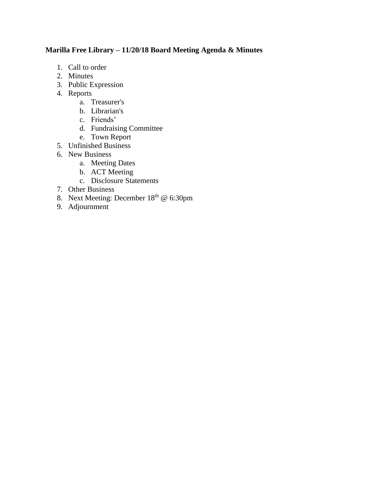# **Marilla Free Library – 11/20/18 Board Meeting Agenda & Minutes**

- 1. Call to order
- 2. Minutes
- 3. Public Expression
- 4. Reports
	- a. Treasurer's
	- b. Librarian's
	- c. Friends'
	- d. Fundraising Committee
	- e. Town Report
- 5. Unfinished Business
- 6. New Business
	- a. Meeting Dates
	- b. ACT Meeting
	- c. Disclosure Statements
- 7. Other Business
- 8. Next Meeting: December 18<sup>th</sup> @ 6:30pm
- 9. Adjournment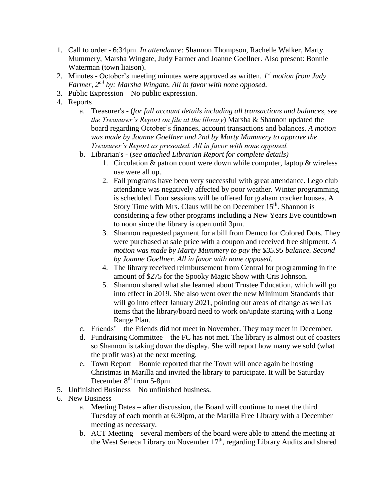- 1. Call to order 6:34pm. *In attendance*: Shannon Thompson, Rachelle Walker, Marty Mummery, Marsha Wingate, Judy Farmer and Joanne Goellner. Also present: Bonnie Waterman (town liaison).
- 2. Minutes October's meeting minutes were approved as written. *1 st motion from Judy Farmer, 2nd by: Marsha Wingate. All in favor with none opposed.*
- 3. Public Expression No public expression.
- 4. Reports
	- a. Treasurer's (*for full account details including all transactions and balances, see the Treasurer's Report on file at the library*) Marsha & Shannon updated the board regarding October's finances, account transactions and balances. *A motion was made by Joanne Goellner and 2nd by Marty Mummery to approve the Treasurer's Report as presented. All in favor with none opposed.*
	- b. Librarian's (*see attached Librarian Report for complete details)*
		- 1. Circulation & patron count were down while computer, laptop & wireless use were all up.
		- 2. Fall programs have been very successful with great attendance. Lego club attendance was negatively affected by poor weather. Winter programming is scheduled. Four sessions will be offered for graham cracker houses. A Story Time with Mrs. Claus will be on December 15<sup>th</sup>. Shannon is considering a few other programs including a New Years Eve countdown to noon since the library is open until 3pm.
		- 3. Shannon requested payment for a bill from Demco for Colored Dots. They were purchased at sale price with a coupon and received free shipment. *A motion was made by Marty Mummery to pay the \$35.95 balance. Second by Joanne Goellner. All in favor with none opposed.*
		- 4. The library received reimbursement from Central for programming in the amount of \$275 for the Spooky Magic Show with Cris Johnson.
		- 5. Shannon shared what she learned about Trustee Education, which will go into effect in 2019. She also went over the new Minimum Standards that will go into effect January 2021, pointing out areas of change as well as items that the library/board need to work on/update starting with a Long Range Plan.
	- c. Friends' the Friends did not meet in November. They may meet in December.
	- d. Fundraising Committee the FC has not met. The library is almost out of coasters so Shannon is taking down the display. She will report how many we sold (what the profit was) at the next meeting.
	- e. Town Report Bonnie reported that the Town will once again be hosting Christmas in Marilla and invited the library to participate. It will be Saturday December 8<sup>th</sup> from 5-8pm.
- 5. Unfinished Business No unfinished business.
- 6. New Business
	- a. Meeting Dates after discussion, the Board will continue to meet the third Tuesday of each month at 6:30pm, at the Marilla Free Library with a December meeting as necessary.
	- b. ACT Meeting several members of the board were able to attend the meeting at the West Seneca Library on November 17<sup>th</sup>, regarding Library Audits and shared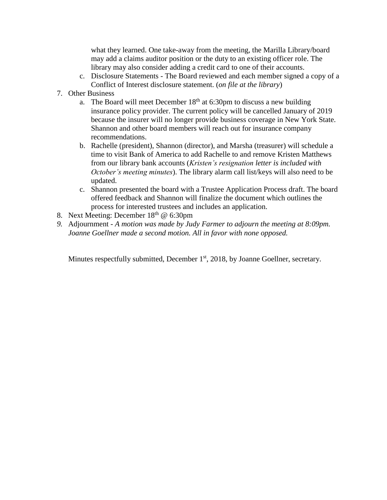what they learned. One take-away from the meeting, the Marilla Library/board may add a claims auditor position or the duty to an existing officer role. The library may also consider adding a credit card to one of their accounts.

- c. Disclosure Statements The Board reviewed and each member signed a copy of a Conflict of Interest disclosure statement. (*on file at the library*)
- 7. Other Business
	- a. The Board will meet December  $18<sup>th</sup>$  at 6:30pm to discuss a new building insurance policy provider. The current policy will be cancelled January of 2019 because the insurer will no longer provide business coverage in New York State. Shannon and other board members will reach out for insurance company recommendations.
	- b. Rachelle (president), Shannon (director), and Marsha (treasurer) will schedule a time to visit Bank of America to add Rachelle to and remove Kristen Matthews from our library bank accounts (*Kristen's resignation letter is included with October's meeting minutes*). The library alarm call list/keys will also need to be updated.
	- c. Shannon presented the board with a Trustee Application Process draft. The board offered feedback and Shannon will finalize the document which outlines the process for interested trustees and includes an application.
- 8. Next Meeting: December 18<sup>th</sup> @ 6:30pm
- *9.* Adjournment *A motion was made by Judy Farmer to adjourn the meeting at 8:09pm. Joanne Goellner made a second motion. All in favor with none opposed.*

Minutes respectfully submitted, December 1<sup>st</sup>, 2018, by Joanne Goellner, secretary.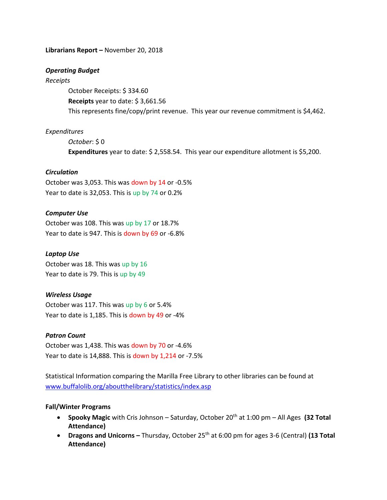#### **Librarians Report –** November 20, 2018

#### *Operating Budget*

#### *Receipts*

October Receipts: \$ 334.60 **Receipts** year to date: \$ 3,661.56 This represents fine/copy/print revenue. This year our revenue commitment is \$4,462.

# *Expenditures*

*October*: \$ 0 **Expenditures** year to date: \$ 2,558.54. This year our expenditure allotment is \$5,200.

# *Circulation*

October was 3,053. This was down by 14 or -0.5% Year to date is 32,053. This is up by 74 or 0.2%

# *Computer Use*

October was 108. This was up by 17 or 18.7% Year to date is 947. This is down by 69 or -6.8%

# *Laptop Use*

October was 18. This was up by 16 Year to date is 79. This is up by 49

# *Wireless Usage*

October was 117. This was up by 6 or 5.4% Year to date is 1,185. This is down by 49 or -4%

# *Patron Count*

October was 1,438. This was down by 70 or -4.6% Year to date is 14,888. This is down by 1,214 or -7.5%

Statistical Information comparing the Marilla Free Library to other libraries can be found at [www.buffalolib.org/aboutthelibrary/statistics/index.asp](http://www.buffalolib.org/aboutthelibrary/statistics/index.asp)

# **Fall/Winter Programs**

- **Spooky Magic** with Cris Johnson Saturday, October 20<sup>th</sup> at 1:00 pm All Ages (32 Total **Attendance)**
- **•** Dragons and Unicorns Thursday, October 25<sup>th</sup> at 6:00 pm for ages 3-6 (Central) (13 Total **Attendance)**